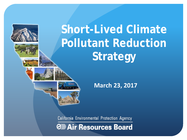











 **March 23, 2017**

California Environmental Protection Agency

**O** Air Resources Board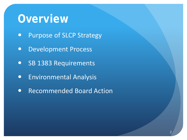#### **Overview**

- Purpose of SLCP Strategy
- **Development Process**
- SB 1383 Requirements
- **•** Environmental Analysis
- Recommended Board Action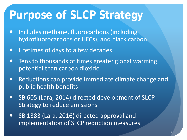#### **Purpose of SLCP Strategy**

- Includes methane, fluorocarbons (including hydrofluorocarbons or HFCs), and black carbon
- Lifetimes of days to a few decades
- Tens to thousands of times greater global warming potential than carbon dioxide
- Reductions can provide immediate climate change and public health benefits
- SB 605 (Lara, 2014) directed development of SLCP Strategy to reduce emissions
- SB 1383 (Lara, 2016) directed approval and implementation of SLCP reduction measures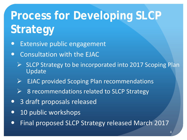# **Process for Developing SLCP Strategy**

- **•** Extensive public engagement
- Consultation with the EJAC
	- $\triangleright$  SLCP Strategy to be incorporated into 2017 Scoping Plan Update
	- $\triangleright$  EJAC provided Scoping Plan recommendations
	- 8 recommendations related to SLCP Strategy
- 3 draft proposals released
- 10 public workshops
- **Final proposed SLCP Strategy released March 2017**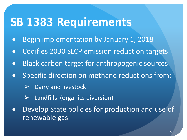#### **SB 1383 Requirements**

- Begin implementation by January 1, 2018
- Codifies 2030 SLCP emission reduction targets
- Black carbon target for anthropogenic sources
- Specific direction on methane reductions from:
	- Dairy and livestock
	- $\triangleright$  Landfills (organics diversion)
- Develop State policies for production and use of renewable gas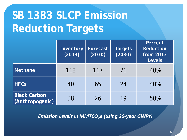### **SB 1383 SLCP Emission Reduction Targets**

|                                        | Inventory<br>(2013) | Forecast<br>(2030) | <b>Targets</b><br>(2030) | Percent<br><b>Reduction</b><br>from 2013<br><b>Levels</b> |
|----------------------------------------|---------------------|--------------------|--------------------------|-----------------------------------------------------------|
| Methane                                | 118                 | 117                | 71                       | 40%                                                       |
| <b>HFCs</b>                            | 40                  | 65                 | 24                       | 40%                                                       |
| <b>Black Carbon</b><br>(Anthropogenic) | 38                  | 26                 | 19                       | 50%                                                       |

*Emission Levels in MMTCO<sub>2</sub>e (using 20-year GWPs)*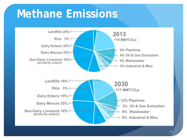#### **Methane Emissions**

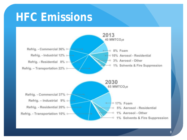#### **HFC Emissions**

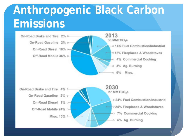### **Anthropogenic Black Carbon Emissions**

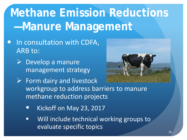# **Methane Emission Reductions —Manure Management**

- In consultation with CDFA, ARB to:
	- $\triangleright$  Develop a manure management strategy



- $\triangleright$  Form dairy and livestock workgroup to address barriers to manure methane reduction projects
	- Kickoff on May 23, 2017
	- **Will include technical working groups to** evaluate specific topics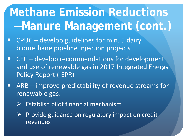# **Methane Emission Reductions —Manure Management (cont.)**

- CPUC develop guidelines for min. 5 dairy biomethane pipeline injection projects
- CEC develop recommendations for development and use of renewable gas in 2017 Integrated Energy Policy Report (IEPR)
- ARB improve predictability of revenue streams for renewable gas:
	- $\triangleright$  Establish pilot financial mechanism
	- $\triangleright$  Provide guidance on regulatory impact on credit revenues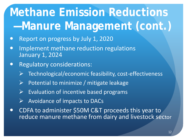# **Methane Emission Reductions —Manure Management (cont.)**

- Report on progress by July 1, 2020
- Implement methane reduction regulations January 1, 2024
- **•** Regulatory considerations:
	- Technological/economic feasibility, cost-effectiveness
	- $\triangleright$  Potential to minimize / mitigate leakage
	- Evaluation of incentive based programs
	- Avoidance of impacts to DACs
- CDFA to administer \$50M C&T proceeds this year to reduce manure methane from dairy and livestock sector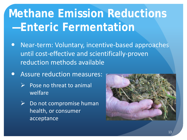# **Methane Emission Reductions —Enteric Fermentation**

- Near-term: Voluntary, incentive-based approaches until cost-effective and scientifically-proven reduction methods available
- **Assure reduction measures:** 
	- $\triangleright$  Pose no threat to animal welfare
	- $\triangleright$  Do not compromise human health, or consumer acceptance

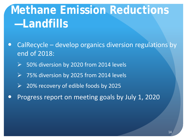## **Methane Emission Reductions —Landfills**

- CalRecycle develop organics diversion regulations by end of 2018:
	- $\triangleright$  50% diversion by 2020 from 2014 levels
	- 75% diversion by 2025 from 2014 levels
	- $\triangleright$  20% recovery of edible foods by 2025
- Progress report on meeting goals by July 1, 2020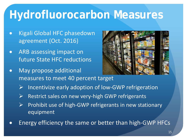### **Hydrofluorocarbon Measures**

- Kigali Global HFC phasedown agreement (Oct. 2016)
- ARB assessing impact on future State HFC reductions
- May propose additional measures to meet 40 percent target



- $\triangleright$  Incentivize early adoption of low-GWP refrigeration
- $\triangleright$  Restrict sales on new very-high GWP refrigerants
- $\triangleright$  Prohibit use of high-GWP refrigerants in new stationary equipment
- Energy efficiency the same or better than high-GWP HFCs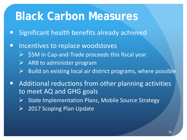#### **Black Carbon Measures**

- Significant health benefits already achieved
- Incentives to replace woodstoves
	- $\triangleright$   $\leq$  55M in Cap-and-Trade proceeds this fiscal year
	- $\triangleright$  ARB to administer program
	- $\triangleright$  Build on existing local air district programs, where possible
- Additional reductions from other planning activities to meet AQ and GHG goals
	- $\triangleright$  State Implementation Plans, Mobile Source Strategy
	- $\triangleright$  2017 Scoping Plan Update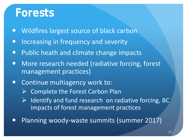#### **Forests**

- Wildfires largest source of black carbon
- Increasing in frequency and severity
- Public heath and climate change impacts
- More research needed (radiative forcing, forest management practices)
- Continue multiagency work to:
	- $\triangleright$  Complete the Forest Carbon Plan
	- $\triangleright$  Identify and fund research on radiative forcing, BC impacts of forest management practices
- Planning woody-waste summits (summer 2017)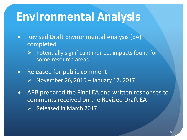#### **Environmental Analysis**

- Revised Draft Environmental Analysis (EA) completed
	- $\triangleright$  Potentially significant indirect impacts found for some resource areas
- Released for public comment
	- $\triangleright$  November 26, 2016 January 17, 2017
- ARB prepared the Final EA and written responses to comments received on the Revised Draft EA
	- $\triangleright$  Released in March 2017